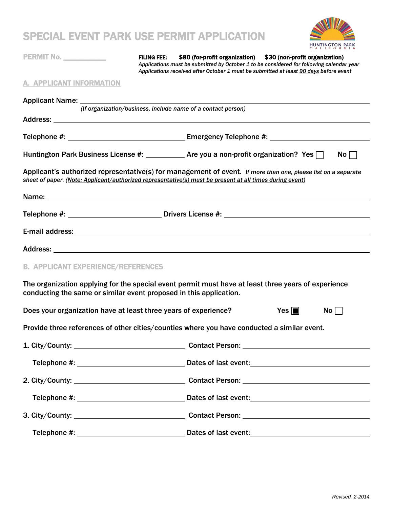# SPECIAL EVENT PARK HSE PERMIT APPLICATION



L,

 $\overline{\phantom{a}}$ 

| EVIAL EVENT FARR VOE FERIJIT AFFEIVATIVN                                                                                                                                                                                  |                    |                                                                                                                                                                                                                                                    |  | HUNTINGTON PARK |  |
|---------------------------------------------------------------------------------------------------------------------------------------------------------------------------------------------------------------------------|--------------------|----------------------------------------------------------------------------------------------------------------------------------------------------------------------------------------------------------------------------------------------------|--|-----------------|--|
| PERMIT No. ___________                                                                                                                                                                                                    | <b>FILING FEE:</b> | \$80 (for-profit organization) \$30 (non-profit organization)<br>Applications must be submitted by October 1 to be considered for following calendar year<br>Applications received after October 1 must be submitted at least 90 days before event |  |                 |  |
| A. APPLICANT INFORMATION                                                                                                                                                                                                  |                    |                                                                                                                                                                                                                                                    |  |                 |  |
|                                                                                                                                                                                                                           |                    | (If organization/business, include name of a contact person)                                                                                                                                                                                       |  |                 |  |
|                                                                                                                                                                                                                           |                    |                                                                                                                                                                                                                                                    |  |                 |  |
|                                                                                                                                                                                                                           |                    |                                                                                                                                                                                                                                                    |  |                 |  |
| Huntington Park Business License #: _____________ Are you a non-profit organization? Yes $\Box$                                                                                                                           |                    |                                                                                                                                                                                                                                                    |  | $No \Box$       |  |
| Applicant's authorized representative(s) for management of event. If more than one, please list on a separate<br>sheet of paper. (Note: Applicant/authorized representative(s) must be present at all times during event) |                    |                                                                                                                                                                                                                                                    |  |                 |  |
|                                                                                                                                                                                                                           |                    |                                                                                                                                                                                                                                                    |  |                 |  |
|                                                                                                                                                                                                                           |                    |                                                                                                                                                                                                                                                    |  |                 |  |
|                                                                                                                                                                                                                           |                    |                                                                                                                                                                                                                                                    |  |                 |  |
|                                                                                                                                                                                                                           |                    |                                                                                                                                                                                                                                                    |  |                 |  |
| <b>B. APPLICANT EXPERIENCE/REFERENCES</b>                                                                                                                                                                                 |                    |                                                                                                                                                                                                                                                    |  |                 |  |
| The organization applying for the special event permit must have at least three years of experience<br>conducting the same or similar event proposed in this application.                                                 |                    |                                                                                                                                                                                                                                                    |  |                 |  |
| Does your organization have at least three years of experience?<br>Yes $\blacksquare$<br>$No$                                                                                                                             |                    |                                                                                                                                                                                                                                                    |  |                 |  |
| Provide three references of other cities/counties where you have conducted a similar event.                                                                                                                               |                    |                                                                                                                                                                                                                                                    |  |                 |  |
|                                                                                                                                                                                                                           |                    |                                                                                                                                                                                                                                                    |  |                 |  |
|                                                                                                                                                                                                                           |                    |                                                                                                                                                                                                                                                    |  |                 |  |
|                                                                                                                                                                                                                           |                    |                                                                                                                                                                                                                                                    |  |                 |  |
|                                                                                                                                                                                                                           |                    |                                                                                                                                                                                                                                                    |  |                 |  |
|                                                                                                                                                                                                                           |                    |                                                                                                                                                                                                                                                    |  |                 |  |
|                                                                                                                                                                                                                           |                    |                                                                                                                                                                                                                                                    |  |                 |  |
|                                                                                                                                                                                                                           |                    |                                                                                                                                                                                                                                                    |  |                 |  |

<u> 1990 - Jan Barnett, politik e</u>

<u> The Common State</u>

 $\mathcal{L}_{\mathcal{A}}$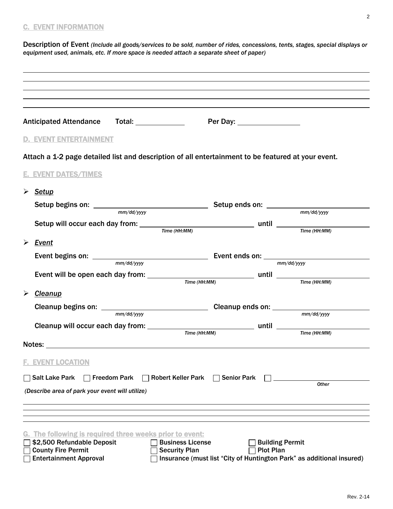# C. EVENT INFORMATION

Description of Event *(Include all goods/services to be sold, number of rides, concessions, tents, stages, special displays or equipment used, animals, etc. If more space is needed attach a separate sheet of paper)*

| Anticipated Attendance Total: ______________                                | Per Day: ____________________                                                                             |
|-----------------------------------------------------------------------------|-----------------------------------------------------------------------------------------------------------|
|                                                                             |                                                                                                           |
| <b>D. EVENT ENTERTAINMENT</b>                                               |                                                                                                           |
|                                                                             | Attach a 1-2 page detailed list and description of all entertainment to be featured at your event.        |
| <b>E. EVENT DATES/TIMES</b>                                                 |                                                                                                           |
|                                                                             |                                                                                                           |
| ➤<br><b>Setup</b>                                                           |                                                                                                           |
|                                                                             | Setup begins on: $\frac{mm/dd/yyy}{mm/dd/yyy}$ Setup ends on: $\frac{mm/dd/yyy}{mm/dd/yyy}$<br>mm/dd/yyyy |
|                                                                             |                                                                                                           |
| Time (HH:MM)                                                                | Time(HH:MM)                                                                                               |
| $\triangleright$ Event                                                      |                                                                                                           |
| mm/dd/yyyy                                                                  | mm/dd/yyyy                                                                                                |
|                                                                             |                                                                                                           |
|                                                                             | Event will be open each day from: $\frac{m}{Time(HH:MM)}$ until $\frac{m}{Time(HH:MM)}$                   |
| $\triangleright$ Cleanup                                                    |                                                                                                           |
| mm/dd/yyyy                                                                  | mm/dd/yyyy                                                                                                |
|                                                                             |                                                                                                           |
|                                                                             | Time (HH:MM)<br>Time (HH:MM)                                                                              |
|                                                                             |                                                                                                           |
| <b>F. EVENT LOCATION</b>                                                    |                                                                                                           |
| <b>7 Salt Lake Park</b><br><b>Freedom Park</b><br><b>Robert Keller Park</b> | <b>Senior Park</b>                                                                                        |
|                                                                             | <b>Other</b>                                                                                              |
| (Describe area of park your event will utilize)                             |                                                                                                           |
|                                                                             |                                                                                                           |
|                                                                             |                                                                                                           |
| The following is required three weeks prior to event:<br>G.                 |                                                                                                           |
| \$2,500 Refundable Deposit<br><b>County Fire Permit</b>                     | <b>Business License</b><br><b>Building Permit</b><br><b>Security Plan</b><br><b>Plot Plan</b>             |
| <b>Entertainment Approval</b>                                               | Insurance (must list "City of Huntington Park" as additional insured)                                     |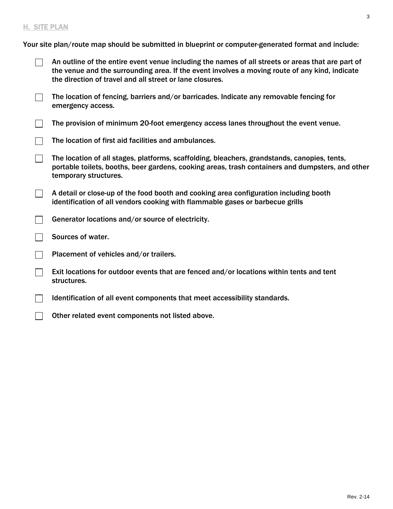## H. SITE PLAN

Your site plan/route map should be submitted in blueprint or computer-generated format and include:

| An outline of the entire event venue including the names of all streets or areas that are part of<br>the venue and the surrounding area. If the event involves a moving route of any kind, indicate<br>the direction of travel and all street or lane closures. |
|-----------------------------------------------------------------------------------------------------------------------------------------------------------------------------------------------------------------------------------------------------------------|
|                                                                                                                                                                                                                                                                 |
|                                                                                                                                                                                                                                                                 |

- The location of fencing, barriers and/or barricades. Indicate any removable fencing for  $\Box$ emergency access.
- $\Box$ The provision of minimum 20-foot emergency access lanes throughout the event venue.
- The location of first aid facilities and ambulances.  $\Box$
- $\Box$ The location of all stages, platforms, scaffolding, bleachers, grandstands, canopies, tents, portable toilets, booths, beer gardens, cooking areas, trash containers and dumpsters, and other temporary structures.
- $\Box$ A detail or close-up of the food booth and cooking area configuration including booth identification of all vendors cooking with flammable gases or barbecue grills
- Generator locations and/or source of electricity.  $\perp$
- $\Box$ Sources of water.
- Placement of vehicles and/or trailers.  $\Box$
- Exit locations for outdoor events that are fenced and/or locations within tents and tent  $\mathbb{R}^2$ structures.
- $\Box$ Identification of all event components that meet accessibility standards.
- Other related event components not listed above.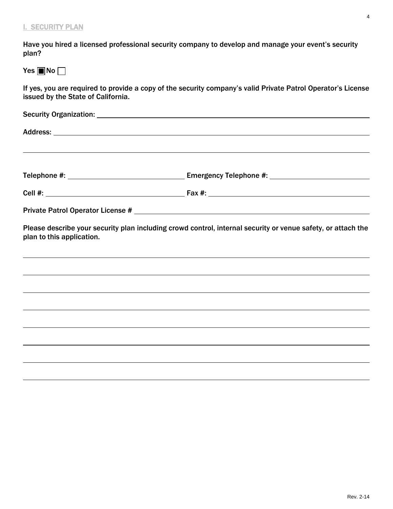Have you hired a licensed professional security company to develop and manage your event's security plan?

Yes  $\blacksquare$  No  $\Box$ 

If yes, you are required to provide a copy of the security company's valid Private Patrol Operator's License issued by the State of California.

|                           | ,我们也不会有什么。""我们的人,我们也不会有什么?""我们的人,我们也不会有什么?""我们的人,我们也不会有什么?""我们的人,我们也不会有什么?""我们的人                             |  |  |  |
|---------------------------|--------------------------------------------------------------------------------------------------------------|--|--|--|
|                           |                                                                                                              |  |  |  |
|                           |                                                                                                              |  |  |  |
|                           |                                                                                                              |  |  |  |
| plan to this application. | Please describe your security plan including crowd control, internal security or venue safety, or attach the |  |  |  |
|                           |                                                                                                              |  |  |  |
|                           | ,我们也不会有什么?""我们的人,我们也不会有什么?""我们的人,我们也不会有什么?""我们的人,我们也不会有什么?""我们的人,我们也不会有什么?""我们的人                             |  |  |  |
|                           |                                                                                                              |  |  |  |
|                           |                                                                                                              |  |  |  |
|                           |                                                                                                              |  |  |  |
|                           |                                                                                                              |  |  |  |
|                           |                                                                                                              |  |  |  |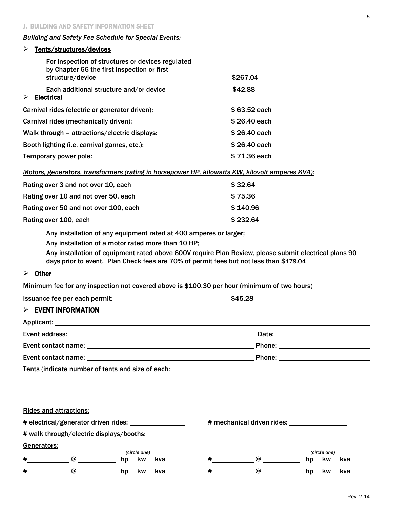#### *Building and Safety Fee Schedule for Special Events:*

# > Tents/structures/devices

| For inspection of structures or devices regulated<br>by Chapter 66 the first inspection or first<br>structure/device | \$267.04     |  |  |
|----------------------------------------------------------------------------------------------------------------------|--------------|--|--|
| Each additional structure and/or device<br>➤<br><b>Electrical</b>                                                    | \$42.88      |  |  |
| Carnival rides (electric or generator driven):<br>\$63.52 each                                                       |              |  |  |
| Carnival rides (mechanically driven):                                                                                | \$26.40 each |  |  |
| \$26.40 each<br>Walk through - attractions/electric displays:                                                        |              |  |  |
| \$26.40 each<br>Booth lighting (i.e. carnival games, etc.):                                                          |              |  |  |
| Temporary power pole:                                                                                                | \$71.36 each |  |  |

*Motors, generators, transformers (rating in horsepower HP, kilowatts KW, kilovolt amperes KVA):*

| Rating over 3 and not over 10, each   | \$32.64  |
|---------------------------------------|----------|
| Rating over 10 and not over 50, each  | \$75.36  |
| Rating over 50 and not over 100, each | \$140.96 |
| Rating over 100, each                 | \$232.64 |

Any installation of any equipment rated at 400 amperes or larger;

Any installation of a motor rated more than 10 HP;

Any installation of equipment rated above 600V require Plan Review, please submit electrical plans 90 days prior to event. Plan Check fees are 70% of permit fees but not less than \$179.04

#### $\triangleright$  Other

Minimum fee for any inspection not covered above is \$100.30 per hour (minimum of two hours)

Issuance fee per each permit:  $$45.28$ 

### $\triangleright$  EVENT INFORMATION

|                                                        |                                                   |    |                            | Date: <u>Date: Expression and the set of the set of the set of the set of the set of the set of the set of the set of the set of the set of the set of the set of the set of the set of the set of the set of the set of the set</u> |   |                                                                                        |    |              |     |
|--------------------------------------------------------|---------------------------------------------------|----|----------------------------|--------------------------------------------------------------------------------------------------------------------------------------------------------------------------------------------------------------------------------------|---|----------------------------------------------------------------------------------------|----|--------------|-----|
|                                                        |                                                   |    |                            |                                                                                                                                                                                                                                      |   |                                                                                        |    |              |     |
|                                                        |                                                   |    |                            |                                                                                                                                                                                                                                      |   |                                                                                        |    |              |     |
|                                                        | Tents (indicate number of tents and size of each: |    |                            |                                                                                                                                                                                                                                      |   |                                                                                        |    |              |     |
|                                                        | <b>Rides and attractions:</b>                     |    |                            |                                                                                                                                                                                                                                      |   |                                                                                        |    |              |     |
| # electrical/generator driven rides: _________________ |                                                   |    | # mechanical driven rides: |                                                                                                                                                                                                                                      |   |                                                                                        |    |              |     |
|                                                        | # walk through/electric displays/booths:          |    |                            |                                                                                                                                                                                                                                      |   |                                                                                        |    |              |     |
| Generators:                                            |                                                   |    |                            |                                                                                                                                                                                                                                      |   |                                                                                        |    |              |     |
|                                                        |                                                   |    | (circle one)               |                                                                                                                                                                                                                                      |   |                                                                                        |    | (circle one) |     |
| #                                                      | $\circledcirc$ and $\circledcirc$                 | hp | <b>kw</b>                  | kva                                                                                                                                                                                                                                  | # | $\omega$ and $\omega$ and $\omega$ and $\omega$ and $\omega$ and $\omega$ and $\omega$ | hp | <b>kw</b>    | kva |
| #                                                      | $\circ$ $\qquad$                                  | hp | kw                         | kva                                                                                                                                                                                                                                  | # | $\circledcirc$                                                                         | hp | kw           | kva |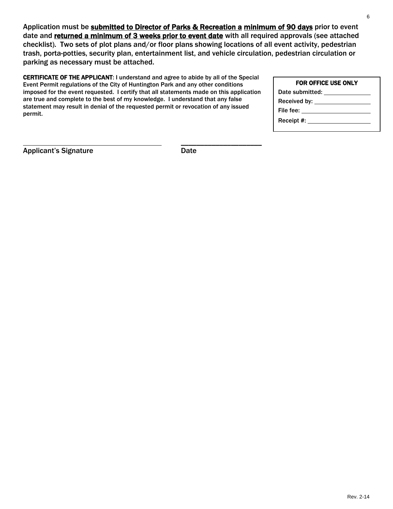Application must be **submitted to Director of Parks & Recreation a minimum of 90 days** prior to event date and returned a minimum of 3 weeks prior to event date with all required approvals (see attached checklist). Two sets of plot plans and/or floor plans showing locations of all event activity, pedestrian trash, porta-potties, security plan, entertainment list, and vehicle circulation, pedestrian circulation or parking as necessary must be attached.

CERTIFICATE OF THE APPLICANT: I understand and agree to abide by all of the Special Event Permit regulations of the City of Huntington Park and any other conditions imposed for the event requested. I certify that all statements made on this application are true and complete to the best of my knowledge. I understand that any false statement may result in denial of the requested permit or revocation of any issued permit.

| FOR OFFICE USE ONLY             |  |  |  |
|---------------------------------|--|--|--|
| Date submitted:                 |  |  |  |
| Received by: __________________ |  |  |  |
| File fee: _________________     |  |  |  |
|                                 |  |  |  |
|                                 |  |  |  |

Applicant's Signature **Date** Date

 $\overline{\phantom{a}}$  , and the set of the set of the set of the set of the set of the set of the set of the set of the set of the set of the set of the set of the set of the set of the set of the set of the set of the set of the s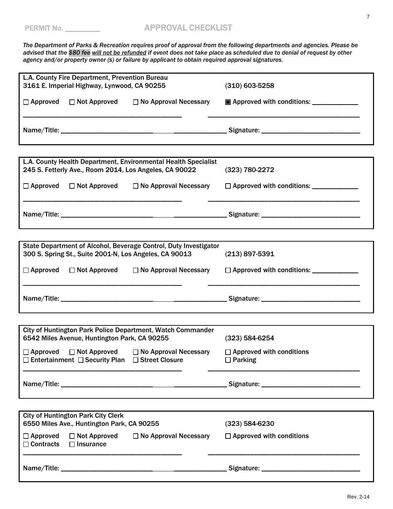*The Department of Parks & Recreation requires proof of approval from the following departments and agencies. Please be advised that the \$80 fee will not be refunded if event does not take place as scheduled due to denial of request by other agency and/or property owner (s) or failure by applicant to obtain required approval signatures.*

| L.A. County Fire Department, Prevention Bureau<br>3161 E. Imperial Highway, Lynwood, CA 90255                                                   | $(310)$ 603-5258                                                 |
|-------------------------------------------------------------------------------------------------------------------------------------------------|------------------------------------------------------------------|
| $\Box$ No Approval Necessary<br>$\Box$ Approved<br>$\Box$ Not Approved                                                                          | <b>E</b> Approved with conditions: ____________                  |
|                                                                                                                                                 |                                                                  |
|                                                                                                                                                 |                                                                  |
| L.A. County Health Department, Environmental Health Specialist<br>245 S. Fetterly Ave., Room 2014, Los Angeles, CA 90022                        | $(323) 780 - 2272$                                               |
| $\Box$ Approved $\Box$ Not Approved<br>$\Box$ No Approval Necessary                                                                             | □ Approved with conditions: ____________                         |
|                                                                                                                                                 |                                                                  |
|                                                                                                                                                 |                                                                  |
| State Department of Alcohol, Beverage Control, Duty Investigator<br>300 S. Spring St., Suite 2001-N, Los Angeles, CA 90013                      | $(213)$ 897-5391                                                 |
| $\Box$ Approved $\Box$ Not Approved                                                                                                             | □ No Approval Necessary □ Approved with conditions: ____________ |
|                                                                                                                                                 |                                                                  |
|                                                                                                                                                 |                                                                  |
| City of Huntington Park Police Department, Watch Commander<br>6542 Miles Avenue, Huntington Park, CA 90255                                      | $(323) 584 - 6254$                                               |
| $\Box$ Approved $\Box$ Not Approved<br>$\Box$ No Approval Necessary<br>$\square$ Entertainment $\square$ Security Plan $\square$ Street Closure | $\Box$ Approved with conditions<br>$\Box$ Parking                |
|                                                                                                                                                 |                                                                  |
|                                                                                                                                                 |                                                                  |
| <b>City of Huntington Park City Clerk</b><br>6550 Miles Ave., Huntington Park, CA 90255                                                         | (323) 584-6230                                                   |
| $\Box$ Approved<br>$\Box$ Not Approved<br>$\Box$ No Approval Necessary<br>$\Box$ Contracts<br>$\Box$ Insurance                                  | $\Box$ Approved with conditions                                  |
|                                                                                                                                                 |                                                                  |